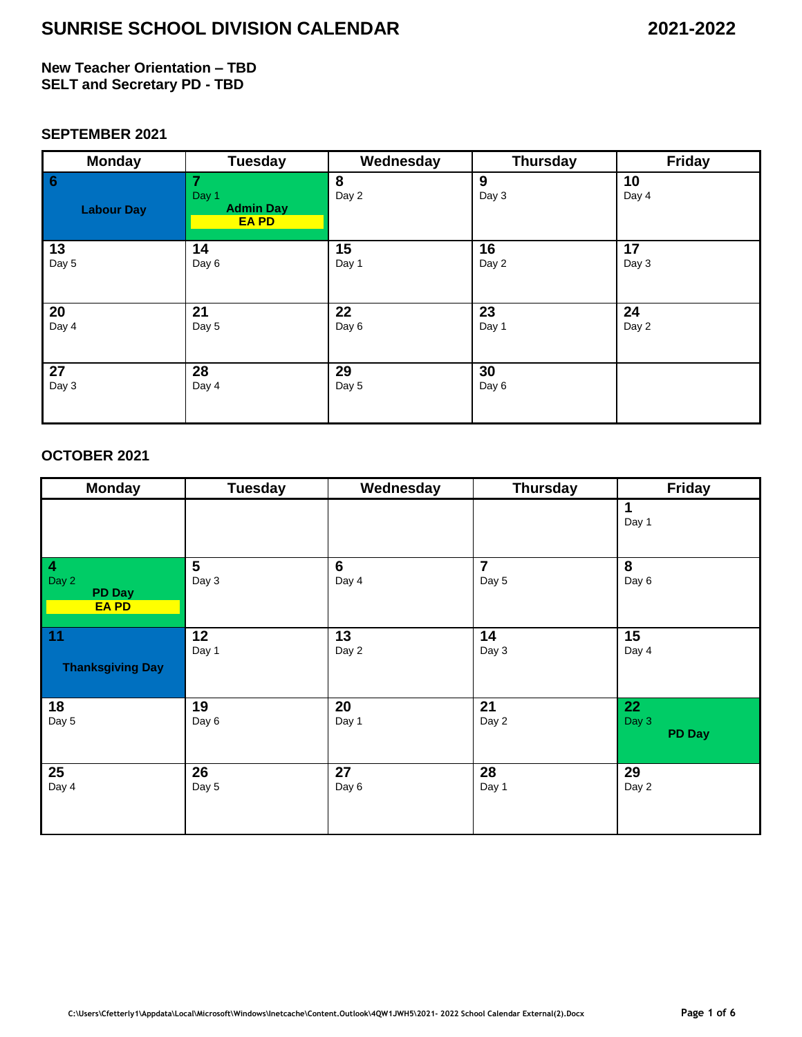### **New Teacher Orientation – TBD SELT and Secretary PD - TBD**

### **SEPTEMBER 2021**

| <b>Monday</b>                       | <b>Tuesday</b>                                 | Wednesday  | <b>Thursday</b> | <b>Friday</b> |
|-------------------------------------|------------------------------------------------|------------|-----------------|---------------|
| $\overline{6}$<br><b>Labour Day</b> | 7<br>Day 1<br><b>Admin Day</b><br><b>EA PD</b> | 8<br>Day 2 | 9<br>Day 3      | 10<br>Day 4   |
| 13                                  | 14                                             | 15         | 16              | 17            |
| Day 5                               | Day 6                                          | Day 1      | Day 2           | Day 3         |
| 20                                  | 21                                             | 22         | 23              | 24            |
| Day 4                               | Day 5                                          | Day 6      | Day 1           | Day 2         |
| 27                                  | 28                                             | 29         | 30              |               |
| Day 3                               | Day 4                                          | Day 5      | Day 6           |               |

### **OCTOBER 2021**

| <b>Monday</b>                                           | <b>Tuesday</b>          | Wednesday               | <b>Thursday</b>         | <b>Friday</b>                |
|---------------------------------------------------------|-------------------------|-------------------------|-------------------------|------------------------------|
|                                                         |                         |                         |                         | 1<br>Day 1                   |
| $\overline{4}$<br>Day 2<br><b>PD Day</b><br><b>EAPD</b> | $5\phantom{1}$<br>Day 3 | $6\phantom{1}$<br>Day 4 | $\overline{7}$<br>Day 5 | 8<br>Day 6                   |
| 11<br><b>Thanksgiving Day</b>                           | 12<br>Day 1             | 13<br>Day 2             | 14<br>Day 3             | 15<br>Day 4                  |
| 18<br>Day 5                                             | 19<br>Day 6             | 20<br>Day 1             | 21<br>Day 2             | 22<br>Day 3<br><b>PD Day</b> |
| 25<br>Day 4                                             | 26<br>Day 5             | 27<br>Day 6             | 28<br>Day 1             | 29<br>Day 2                  |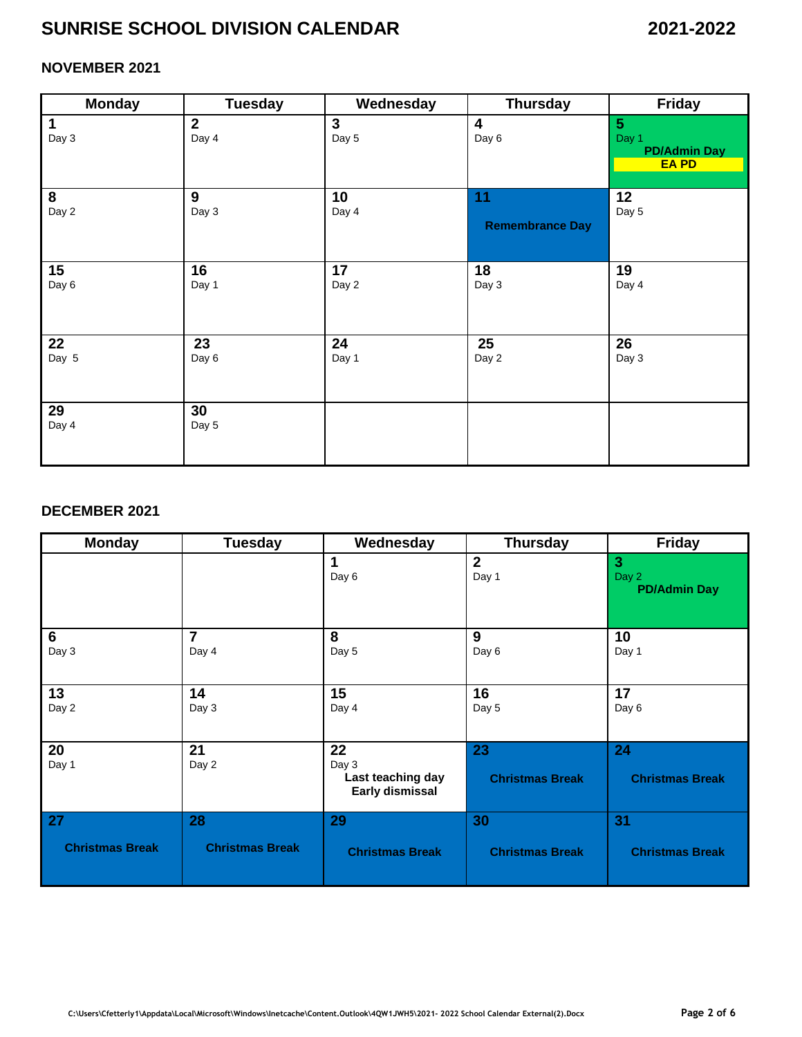## **NOVEMBER 2021**

| <b>Monday</b>        | <b>Tuesday</b>        | Wednesday             | <b>Thursday</b>        | Friday                                                          |
|----------------------|-----------------------|-----------------------|------------------------|-----------------------------------------------------------------|
| $\mathbf 1$<br>Day 3 | $\mathbf{2}$<br>Day 4 | $\mathbf{3}$<br>Day 5 | 4<br>Day 6             | $5\phantom{.0}$<br>Day 1<br><b>PD/Admin Day</b><br><b>EA PD</b> |
| 8                    | 9                     | 10                    | 11                     | 12                                                              |
| Day 2                | Day 3                 | Day 4                 | <b>Remembrance Day</b> | Day 5                                                           |
| 15                   | 16                    | 17                    | 18                     | 19                                                              |
| Day 6                | Day 1                 | Day 2                 | Day 3                  | Day 4                                                           |
| 22                   | 23                    | 24                    | 25                     | 26                                                              |
| Day 5                | Day 6                 | Day 1                 | Day 2                  | Day 3                                                           |
| 29<br>Day 4          | 30<br>Day 5           |                       |                        |                                                                 |

#### **DECEMBER 2021**

| <b>Monday</b>          | <b>Tuesday</b>         | Wednesday                                           | <b>Thursday</b>              | <b>Friday</b>                                |
|------------------------|------------------------|-----------------------------------------------------|------------------------------|----------------------------------------------|
|                        |                        | 1<br>Day 6                                          | $\overline{2}$<br>Day 1      | $\mathbf{3}$<br>Day 2<br><b>PD/Admin Day</b> |
| 6                      | $\overline{7}$         | 8                                                   | 9                            | 10                                           |
| Day 3                  | Day 4                  | Day 5                                               | Day 6                        | Day 1                                        |
| 13                     | 14                     | 15                                                  | 16                           | 17                                           |
| Day 2                  | Day 3                  | Day 4                                               | Day 5                        | Day 6                                        |
| 20<br>Day 1            | 21<br>Day 2            | 22<br>Day 3<br>Last teaching day<br>Early dismissal | 23<br><b>Christmas Break</b> | 24<br><b>Christmas Break</b>                 |
| 27                     | 28                     | 29                                                  | 30                           | 31                                           |
| <b>Christmas Break</b> | <b>Christmas Break</b> | <b>Christmas Break</b>                              | <b>Christmas Break</b>       | <b>Christmas Break</b>                       |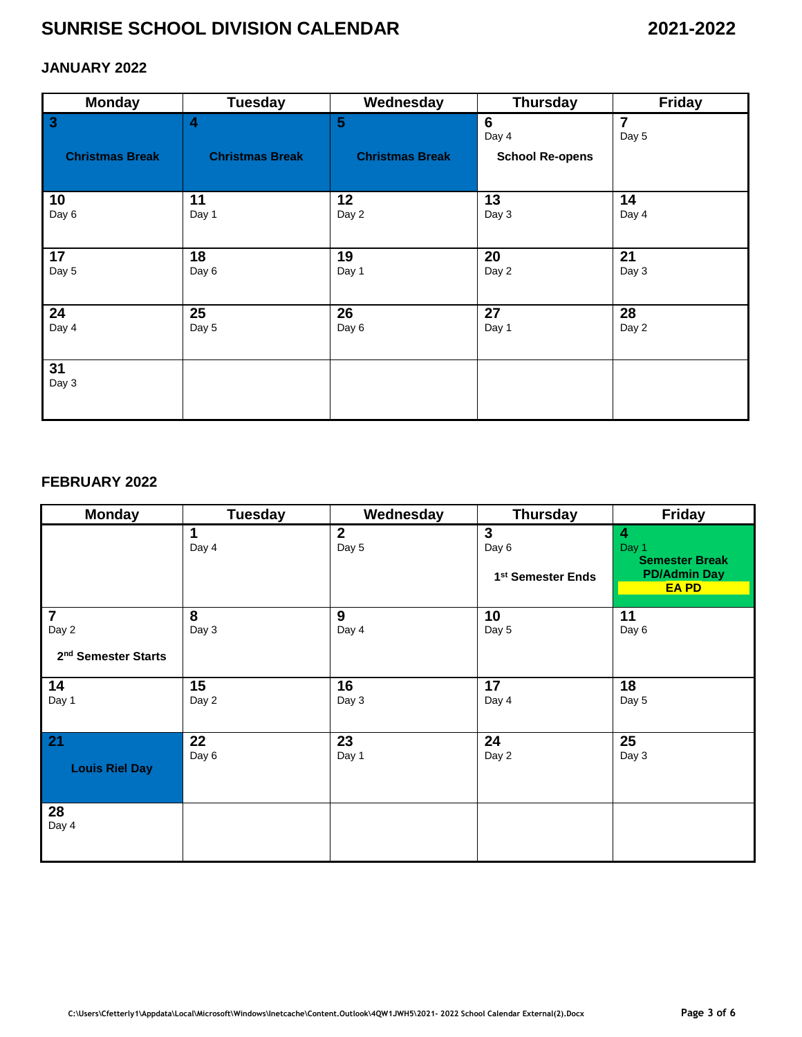## **JANUARY 2022**

| <b>Monday</b>                                     | <b>Tuesday</b>                                    | Wednesday                                 | <b>Thursday</b>                      | Friday                  |
|---------------------------------------------------|---------------------------------------------------|-------------------------------------------|--------------------------------------|-------------------------|
| $\overline{\mathbf{3}}$<br><b>Christmas Break</b> | $\overline{\mathbf{4}}$<br><b>Christmas Break</b> | $5\phantom{.0}$<br><b>Christmas Break</b> | 6<br>Day 4<br><b>School Re-opens</b> | $\overline{7}$<br>Day 5 |
|                                                   |                                                   |                                           |                                      |                         |
| 10<br>Day 6                                       | 11<br>Day 1                                       | 12<br>Day 2                               | 13<br>Day 3                          | 14<br>Day 4             |
| 17<br>Day 5                                       | 18<br>Day 6                                       | 19<br>Day 1                               | 20<br>Day 2                          | 21<br>Day 3             |
| 24<br>Day 4                                       | 25<br>Day 5                                       | 26<br>Day 6                               | 27<br>Day 1                          | 28<br>Day 2             |
| 31<br>Day 3                                       |                                                   |                                           |                                      |                         |

#### **FEBRUARY 2022**

l,

| <b>Monday</b>                                              | <b>Tuesday</b> | Wednesday             | <b>Thursday</b>                                        | Friday                                                                     |
|------------------------------------------------------------|----------------|-----------------------|--------------------------------------------------------|----------------------------------------------------------------------------|
|                                                            | 1<br>Day 4     | $\mathbf{2}$<br>Day 5 | $\mathbf{3}$<br>Day 6<br>1 <sup>st</sup> Semester Ends | 4<br>Day 1<br><b>Semester Break</b><br><b>PD/Admin Day</b><br><b>EA PD</b> |
| $\overline{7}$<br>Day 2<br>2 <sup>nd</sup> Semester Starts | 8<br>Day 3     | 9<br>Day 4            | 10<br>Day 5                                            | 11<br>Day 6                                                                |
| 14<br>Day 1                                                | 15<br>Day 2    | 16<br>Day 3           | 17<br>Day 4                                            | 18<br>Day 5                                                                |
| 21<br><b>Louis Riel Day</b>                                | 22<br>Day 6    | 23<br>Day 1           | 24<br>Day 2                                            | 25<br>Day 3                                                                |
| 28<br>Day 4                                                |                |                       |                                                        |                                                                            |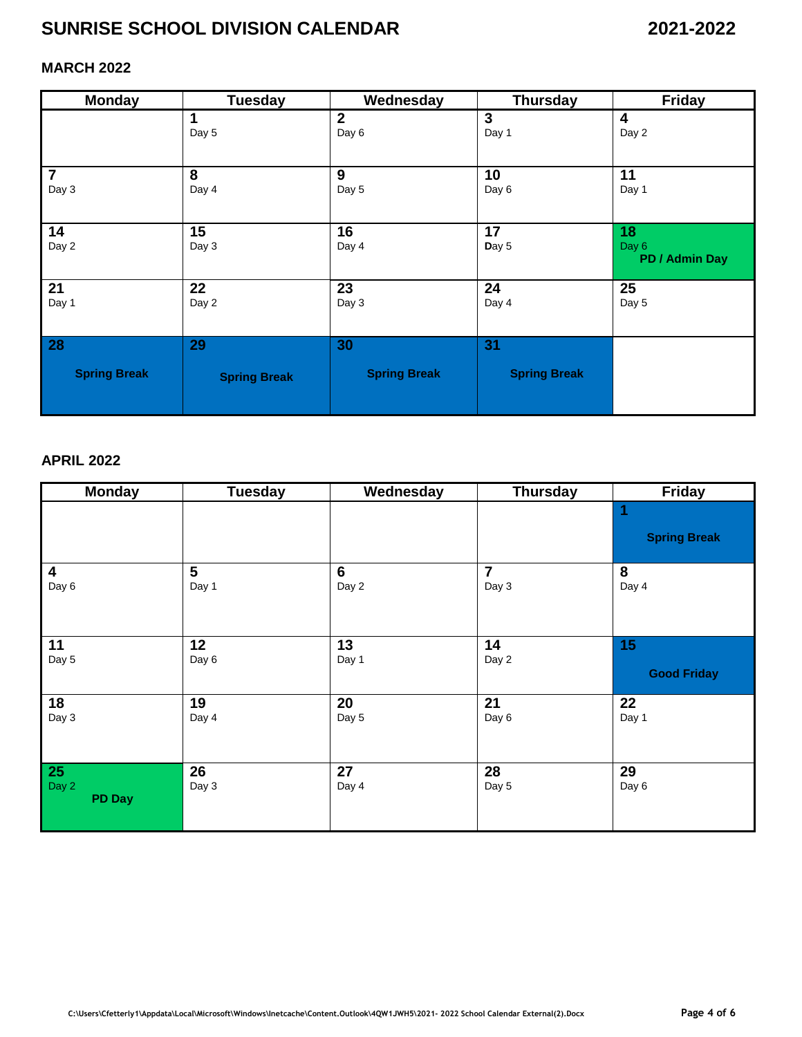## **MARCH 2022**

| <b>Monday</b>       | <b>Tuesday</b>      | Wednesday           | <b>Thursday</b>     | <b>Friday</b>                 |
|---------------------|---------------------|---------------------|---------------------|-------------------------------|
|                     | 1                   | $\mathbf{2}$        | 3                   | 4                             |
|                     | Day 5               | Day 6               | Day 1               | Day 2                         |
| $\overline{7}$      | 8                   | 9                   | 10                  | 11                            |
| Day 3               | Day 4               | Day 5               | Day 6               | Day 1                         |
| 14<br>Day 2         | 15<br>Day 3         | 16<br>Day 4         | 17<br>Day 5         | 18<br>Day 6<br>PD / Admin Day |
| 21                  | 22                  | 23                  | 24                  | 25                            |
| Day 1               | Day 2               | Day 3               | Day 4               | Day 5                         |
| 28                  | 29                  | 30                  | 31                  |                               |
| <b>Spring Break</b> | <b>Spring Break</b> | <b>Spring Break</b> | <b>Spring Break</b> |                               |

## **APRIL 2022**

| <b>Monday</b>           | <b>Tuesday</b> | Wednesday      | <b>Thursday</b> | Friday              |
|-------------------------|----------------|----------------|-----------------|---------------------|
|                         |                |                |                 | <b>Spring Break</b> |
| $\overline{\mathbf{4}}$ | 5              | $6\phantom{1}$ | $\overline{7}$  | 8                   |
| Day 6                   | Day 1          | Day 2          | Day 3           | Day 4               |
| 11                      | 12             | 13             | 14              | 15                  |
| Day 5                   | Day 6          | Day 1          | Day 2           | <b>Good Friday</b>  |
| 18                      | 19             | 20             | 21              | 22                  |
| Day 3                   | Day 4          | Day 5          | Day 6           | Day 1               |
| $\overline{25}$         | 26             | 27             | 28              | 29                  |
| Day 2<br><b>PD Day</b>  | Day 3          | Day 4          | Day 5           | Day 6               |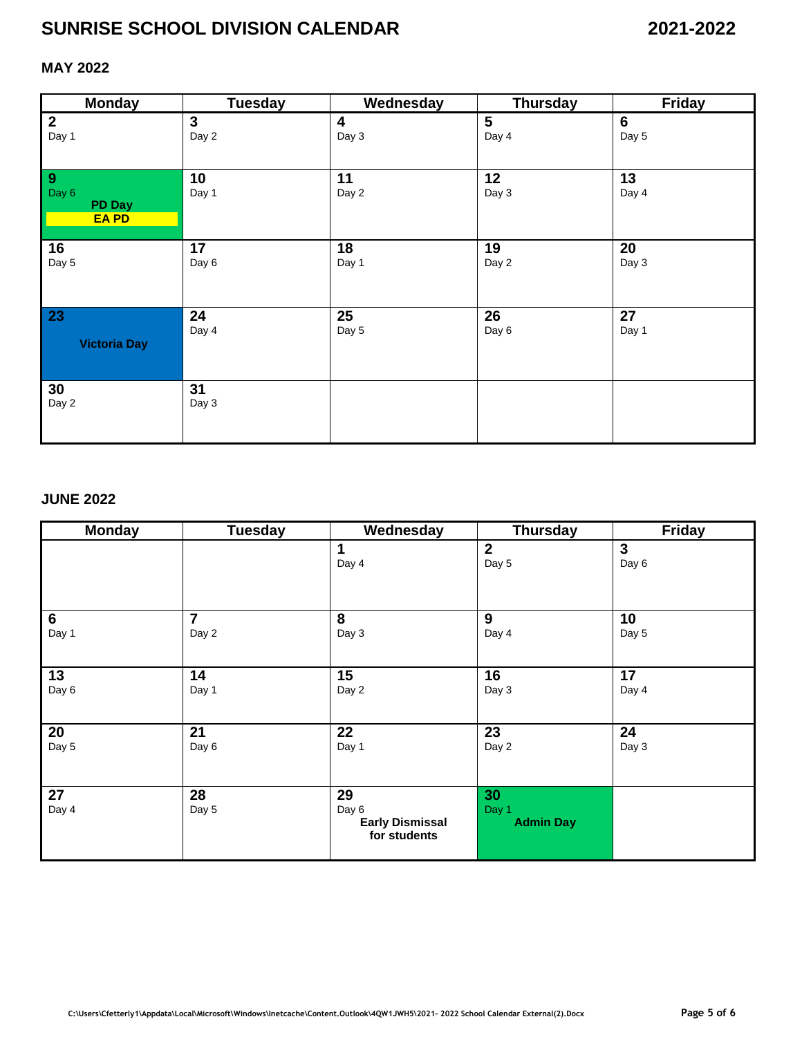## **MAY 2022**

| <b>Monday</b>                               | <b>Tuesday</b> | Wednesday               | <b>Thursday</b> | <b>Friday</b>  |
|---------------------------------------------|----------------|-------------------------|-----------------|----------------|
| $\mathbf{2}$                                | $\mathbf{3}$   | $\overline{\mathbf{4}}$ | $5\phantom{1}$  | $6\phantom{1}$ |
| Day 1                                       | Day 2          | Day 3                   | Day 4           | Day 5          |
| 9<br>Day 6<br><b>PD Day</b><br><b>EA PD</b> | 10<br>Day 1    | 11<br>Day 2             | 12<br>Day 3     | 13<br>Day 4    |
| 16                                          | 17             | 18                      | 19              | 20             |
| Day 5                                       | Day 6          | Day 1                   | Day 2           | Day 3          |
| 23                                          | 24             | 25                      | 26              | 27             |
| <b>Victoria Day</b>                         | Day 4          | Day 5                   | Day 6           | Day 1          |
| 30<br>Day 2                                 | 31<br>Day 3    |                         |                 |                |

### **JUNE 2022**

| <b>Monday</b>  | <b>Tuesday</b> | Wednesday                                             | <b>Thursday</b>                 | <b>Friday</b> |
|----------------|----------------|-------------------------------------------------------|---------------------------------|---------------|
|                |                | 1<br>Day 4                                            | $\overline{2}$<br>Day 5         | 3<br>Day 6    |
| $6\phantom{a}$ | $\overline{7}$ | 8                                                     | 9                               | 10            |
| Day 1          | Day 2          | Day 3                                                 | Day 4                           | Day 5         |
| 13             | 14             | 15                                                    | 16                              | 17            |
| Day 6          | Day 1          | Day 2                                                 | Day 3                           | Day 4         |
| 20             | 21             | 22                                                    | 23                              | 24            |
| Day 5          | Day 6          | Day 1                                                 | Day 2                           | Day 3         |
| 27<br>Day 4    | 28<br>Day 5    | 29<br>Day 6<br><b>Early Dismissal</b><br>for students | 30<br>Day 1<br><b>Admin Day</b> |               |